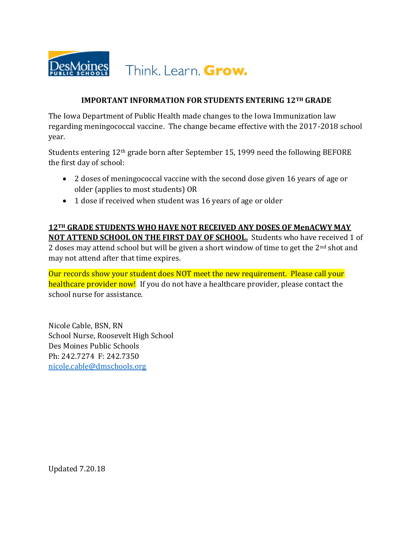

#### **IMPORTANT INFORMATION FOR STUDENTS ENTERING 12TH GRADE**

The Iowa Department of Public Health made changes to the Iowa Immunization law regarding meningococcal vaccine. The change became effective with the 2017-2018 school year.

Students entering 12th grade born after September 15, 1999 need the following BEFORE the first day of school:

- 2 doses of meningococcal vaccine with the second dose given 16 years of age or older (applies to most students) OR
- 1 dose if received when student was 16 years of age or older

**12TH GRADE STUDENTS WHO HAVE NOT RECEIVED ANY DOSES OF MenACWY MAY NOT ATTEND SCHOOL ON THE FIRST DAY OF SCHOOL.** Students who have received 1 of 2 doses may attend school but will be given a short window of time to get the  $2<sup>nd</sup>$  shot and may not attend after that time expires.

Our records show your student does NOT meet the new requirement. Please call your healthcare provider now! If you do not have a healthcare provider, please contact the school nurse for assistance.

Nicole Cable, BSN, RN School Nurse, Roosevelt High School Des Moines Public Schools Ph: 242.7274 F: 242.7350 [nicole.cable@dmschools.org](mailto:nicole.cable@dmschools.org)

Updated 7.20.18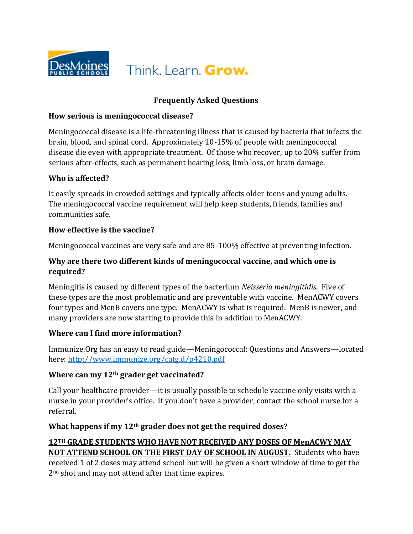

## **Frequently Asked Questions**

#### **How serious is meningococcal disease?**

Meningococcal disease is a life-threatening illness that is caused by bacteria that infects the brain, blood, and spinal cord. Approximately 10-15% of people with meningococcal disease die even with appropriate treatment. Of those who recover, up to 20% suffer from serious after-effects, such as permanent hearing loss, limb loss, or brain damage.

#### **Who is affected?**

It easily spreads in crowded settings and typically affects older teens and young adults. The meningococcal vaccine requirement will help keep students, friends, families and communities safe.

#### **How effective is the vaccine?**

Meningococcal vaccines are very safe and are 85-100% effective at preventing infection.

## **Why are there two different kinds of meningococcal vaccine, and which one is required?**

Meningitis is caused by different types of the bacterium *Neisseria meningitidis*. Five of these types are the most problematic and are preventable with vaccine. MenACWY covers four types and MenB covers one type. MenACWY is what is required. MenB is newer, and many providers are now starting to provide this in addition to MenACWY.

#### **Where can I find more information?**

Immunize.Org has an easy to read guide—Meningococcal: Questions and Answers—located here:<http://www.immunize.org/catg.d/p4210.pdf>

#### **Where can my 12th grader get vaccinated?**

Call your healthcare provider—it is usually possible to schedule vaccine only visits with a nurse in your provider's office. If you don't have a provider, contact the school nurse for a referral.

#### **What happens if my 12th grader does not get the required doses?**

# **12TH GRADE STUDENTS WHO HAVE NOT RECEIVED ANY DOSES OF MenACWY MAY NOT ATTEND SCHOOL ON THE FIRST DAY OF SCHOOL IN AUGUST.** Students who have

received 1 of 2 doses may attend school but will be given a short window of time to get the 2<sup>nd</sup> shot and may not attend after that time expires.